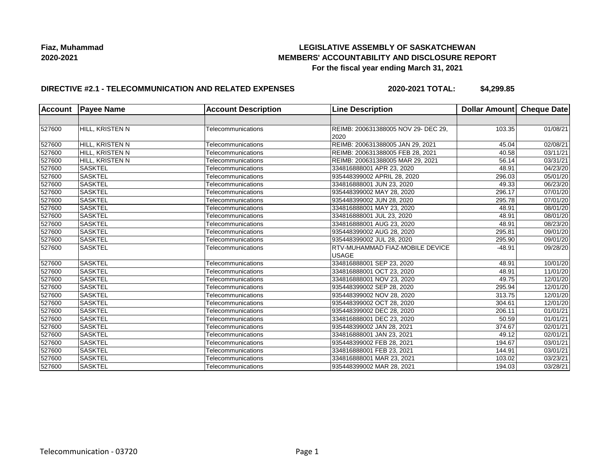## **LEGISLATIVE ASSEMBLY OF SASKATCHEWAN MEMBERS' ACCOUNTABILITY AND DISCLOSURE REPORT For the fiscal year ending March 31, 2021**

### **DIRECTIVE #2.1 - TELECOMMUNICATION AND RELATED EXPENSES**

**2020-2021 TOTAL: \$4,299.85**

| <b>Account</b> | <b>Payee Name</b> | <b>Account Description</b> | <b>Line Description</b>                     | Dollar Amount Cheque Date |                       |
|----------------|-------------------|----------------------------|---------------------------------------------|---------------------------|-----------------------|
|                |                   |                            |                                             |                           |                       |
| 527600         | HILL, KRISTEN N   | Telecommunications         | REIMB: 200631388005 NOV 29- DEC 29,<br>2020 | 103.35                    | 01/08/21              |
| 527600         | HILL, KRISTEN N   | Telecommunications         | REIMB: 200631388005 JAN 29, 2021            | 45.04                     | 02/08/21              |
| 527600         | HILL, KRISTEN N   | Telecommunications         | REIMB: 200631388005 FEB 28, 2021            | 40.58                     | 03/11/21              |
| 527600         | HILL, KRISTEN N   | Telecommunications         | REIMB: 200631388005 MAR 29, 2021            | 56.14                     | 03/31/21              |
| 527600         | <b>SASKTEL</b>    | Telecommunications         | 334816888001 APR 23, 2020                   | 48.91                     | 04/23/20              |
| 527600         | <b>SASKTEL</b>    | Telecommunications         | 935448399002 APRIL 28, 2020                 | 296.03                    | 05/01/20              |
| 527600         | <b>SASKTEL</b>    | Telecommunications         | 334816888001 JUN 23, 2020                   | 49.33                     | 06/23/20              |
| 527600         | <b>SASKTEL</b>    | Telecommunications         | 935448399002 MAY 28, 2020                   | 296.17                    | 07/01/20              |
| 527600         | <b>SASKTEL</b>    | Telecommunications         | 935448399002 JUN 28, 2020                   | 295.78                    | 07/01/20              |
| 527600         | <b>SASKTEL</b>    | Telecommunications         | 334816888001 MAY 23, 2020                   | 48.91                     | $\overline{08}/01/20$ |
| 527600         | <b>SASKTEL</b>    | Telecommunications         | 334816888001 JUL 23, 2020                   | 48.91                     | 08/01/20              |
| 527600         | <b>SASKTEL</b>    | Telecommunications         | 334816888001 AUG 23, 2020                   | 48.91                     | 08/23/20              |
| 527600         | <b>SASKTEL</b>    | Telecommunications         | 935448399002 AUG 28, 2020                   | 295.81                    | 09/01/20              |
| 527600         | <b>SASKTEL</b>    | Telecommunications         | 935448399002 JUL 28, 2020                   | 295.90                    | 09/01/20              |
| 527600         | <b>SASKTEL</b>    | Telecommunications         | RTV-MUHAMMAD FIAZ-MOBILE DEVICE             | $-48.91$                  | 09/28/20              |
|                |                   |                            | <b>USAGE</b>                                |                           |                       |
| 527600         | <b>SASKTEL</b>    | Telecommunications         | 334816888001 SEP 23, 2020                   | 48.91                     | 10/01/20              |
| 527600         | <b>SASKTEL</b>    | Telecommunications         | 334816888001 OCT 23, 2020                   | 48.91                     | 11/01/20              |
| 527600         | <b>SASKTEL</b>    | Telecommunications         | 334816888001 NOV 23, 2020                   | 49.75                     | 12/01/20              |
| 527600         | <b>SASKTEL</b>    | Telecommunications         | 935448399002 SEP 28, 2020                   | 295.94                    | 12/01/20              |
| 527600         | <b>SASKTEL</b>    | Telecommunications         | 935448399002 NOV 28, 2020                   | 313.75                    | 12/01/20              |
| 527600         | <b>SASKTEL</b>    | Telecommunications         | 935448399002 OCT 28, 2020                   | 304.61                    | 12/01/20              |
| 527600         | <b>SASKTEL</b>    | Telecommunications         | 935448399002 DEC 28, 2020                   | 206.11                    | 01/01/21              |
| 527600         | <b>SASKTEL</b>    | Telecommunications         | 334816888001 DEC 23, 2020                   | 50.59                     | 01/01/21              |
| 527600         | <b>SASKTEL</b>    | Telecommunications         | 935448399002 JAN 28, 2021                   | 374.67                    | 02/01/21              |
| 527600         | <b>SASKTEL</b>    | Telecommunications         | 334816888001 JAN 23, 2021                   | 49.12                     | 02/01/21              |
| 527600         | <b>SASKTEL</b>    | Telecommunications         | 935448399002 FEB 28, 2021                   | 194.67                    | 03/01/21              |
| 527600         | <b>SASKTEL</b>    | Telecommunications         | 334816888001 FEB 23, 2021                   | 144.91                    | 03/01/21              |
| 527600         | <b>SASKTEL</b>    | Telecommunications         | 334816888001 MAR 23, 2021                   | 103.02                    | 03/23/21              |
| 527600         | <b>SASKTEL</b>    | Telecommunications         | 935448399002 MAR 28, 2021                   | 194.03                    | 03/28/21              |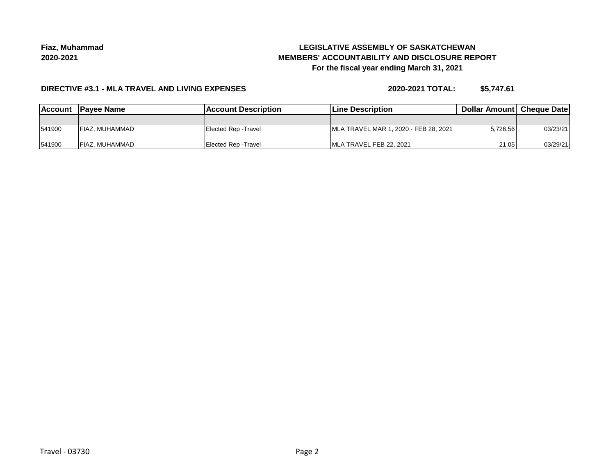# **LEGISLATIVE ASSEMBLY OF SASKATCHEWAN MEMBERS' ACCOUNTABILITY AND DISCLOSURE REPORT For the fiscal year ending March 31, 2021**

### **DIRECTIVE #3.1 - MLA TRAVEL AND LIVING EXPENSES**

**2020-2021 TOTAL: \$5,747.61**

| <b>IAccount</b> | <b>IPavee Name</b> | <b>IAccount Description</b> | <b>ILine Description</b>               | <b>Dollar AmountI Cheque Date</b> |          |
|-----------------|--------------------|-----------------------------|----------------------------------------|-----------------------------------|----------|
|                 |                    |                             |                                        |                                   |          |
| 541900          | FIAZ. MUHAMMAD     | Elected Rep - Travel        | IMLA TRAVEL MAR 1, 2020 - FEB 28, 2021 | 5.726.56                          | 03/23/21 |
| 541900          | FIAZ, MUHAMMAD     | Elected Rep - Travel        | IMLA TRAVEL FEB 22, 2021               | 21.05                             | 03/29/21 |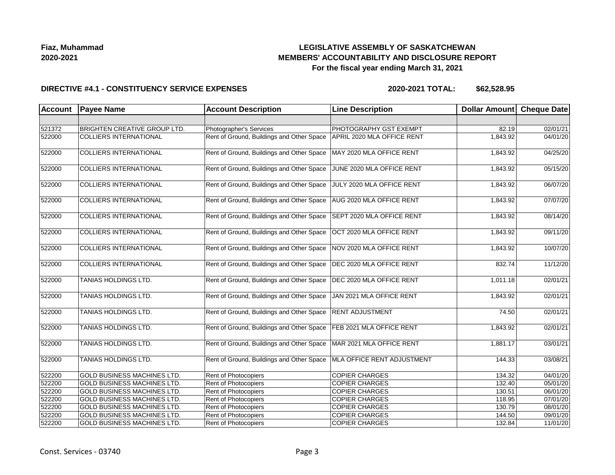## **LEGISLATIVE ASSEMBLY OF SASKATCHEWAN MEMBERS' ACCOUNTABILITY AND DISCLOSURE REPORT For the fiscal year ending March 31, 2021**

#### **DIRECTIVE #4.1 - CONSTITUENCY SERVICE EXPENSES**

| <b>Account</b> | <b>Payee Name</b>                   | <b>Account Description</b>                | <b>Line Description</b>         | <b>Dollar Amount</b> | <b>Cheque Date</b> |
|----------------|-------------------------------------|-------------------------------------------|---------------------------------|----------------------|--------------------|
|                |                                     |                                           |                                 |                      |                    |
| 521372         | <b>BRIGHTEN CREATIVE GROUP LTD.</b> | Photographer's Services                   | PHOTOGRAPHY GST EXEMPT          | 82.19                | 02/01/21           |
| 522000         | <b>COLLIERS INTERNATIONAL</b>       | Rent of Ground, Buildings and Other Space | APRIL 2020 MLA OFFICE RENT      | 1,843.92             | 04/01/20           |
| 522000         | <b>COLLIERS INTERNATIONAL</b>       | Rent of Ground, Buildings and Other Space | MAY 2020 MLA OFFICE RENT        | 1,843.92             | 04/25/20           |
| 522000         | <b>COLLIERS INTERNATIONAL</b>       | Rent of Ground, Buildings and Other Space | JUNE 2020 MLA OFFICE RENT       | 1,843.92             | 05/15/20           |
| 522000         | <b>COLLIERS INTERNATIONAL</b>       | Rent of Ground, Buildings and Other Space | JULY 2020 MLA OFFICE RENT       | 1,843.92             | 06/07/20           |
| 522000         | <b>COLLIERS INTERNATIONAL</b>       | Rent of Ground, Buildings and Other Space | AUG 2020 MLA OFFICE RENT        | 1,843.92             | 07/07/20           |
| 522000         | <b>COLLIERS INTERNATIONAL</b>       | Rent of Ground, Buildings and Other Space | SEPT 2020 MLA OFFICE RENT       | 1,843.92             | 08/14/20           |
| 522000         | <b>COLLIERS INTERNATIONAL</b>       | Rent of Ground, Buildings and Other Space | OCT 2020 MLA OFFICE RENT        | 1,843.92             | 09/11/20           |
| 522000         | <b>COLLIERS INTERNATIONAL</b>       | Rent of Ground, Buildings and Other Space | NOV 2020 MLA OFFICE RENT        | 1,843.92             | 10/07/20           |
| 522000         | <b>COLLIERS INTERNATIONAL</b>       | Rent of Ground, Buildings and Other Space | DEC 2020 MLA OFFICE RENT        | 832.74               | 11/12/20           |
| 522000         | TANIAS HOLDINGS LTD.                | Rent of Ground, Buildings and Other Space | <b>DEC 2020 MLA OFFICE RENT</b> | 1,011.18             | 02/01/21           |
| 522000         | <b>TANIAS HOLDINGS LTD.</b>         | Rent of Ground, Buildings and Other Space | JAN 2021 MLA OFFICE RENT        | 1,843.92             | 02/01/21           |
| 522000         | TANIAS HOLDINGS LTD.                | Rent of Ground, Buildings and Other Space | <b>RENT ADJUSTMENT</b>          | 74.50                | 02/01/21           |
| 522000         | <b>TANIAS HOLDINGS LTD.</b>         | Rent of Ground, Buildings and Other Space | FEB 2021 MLA OFFICE RENT        | 1,843.92             | 02/01/21           |
| 522000         | TANIAS HOLDINGS LTD.                | Rent of Ground, Buildings and Other Space | MAR 2021 MLA OFFICE RENT        | 1,881.17             | 03/01/21           |
| 522000         | TANIAS HOLDINGS LTD.                | Rent of Ground, Buildings and Other Space | MLA OFFICE RENT ADJUSTMENT      | 144.33               | 03/08/21           |
| 522200         | GOLD BUSINESS MACHINES LTD.         | Rent of Photocopiers                      | <b>COPIER CHARGES</b>           | 134.32               | 04/01/20           |
| 522200         | <b>GOLD BUSINESS MACHINES LTD.</b>  | Rent of Photocopiers                      | <b>COPIER CHARGES</b>           | 132.40               | 05/01/20           |
| 522200         | <b>GOLD BUSINESS MACHINES LTD.</b>  | Rent of Photocopiers                      | <b>COPIER CHARGES</b>           | 130.51               | 06/01/20           |
| 522200         | GOLD BUSINESS MACHINES LTD.         | Rent of Photocopiers                      | <b>COPIER CHARGES</b>           | 118.95               | 07/01/20           |
| 522200         | GOLD BUSINESS MACHINES LTD.         | Rent of Photocopiers                      | <b>COPIER CHARGES</b>           | 130.79               | 08/01/20           |
| 522200         | <b>GOLD BUSINESS MACHINES LTD.</b>  | Rent of Photocopiers                      | <b>COPIER CHARGES</b>           | 144.50               | 09/01/20           |
| 522200         | GOLD BUSINESS MACHINES LTD.         | Rent of Photocopiers                      | <b>COPIER CHARGES</b>           | 132.84               | 11/01/20           |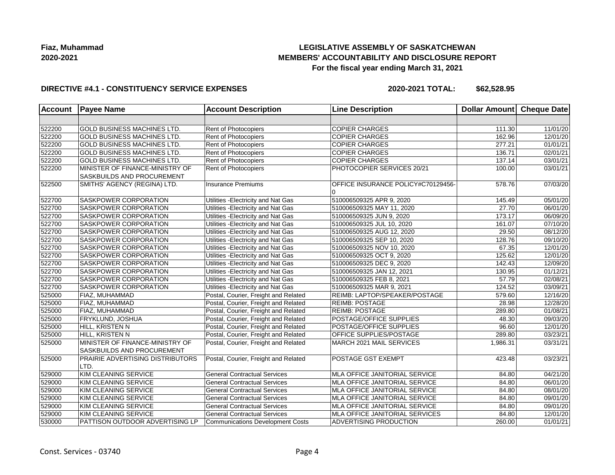## **LEGISLATIVE ASSEMBLY OF SASKATCHEWAN MEMBERS' ACCOUNTABILITY AND DISCLOSURE REPORT For the fiscal year ending March 31, 2021**

### **DIRECTIVE #4.1 - CONSTITUENCY SERVICE EXPENSES**

| <b>Account</b> | <b>Payee Name</b>                                             | <b>Account Description</b>              | <b>Line Description</b>                  | Dollar Amount Cheque Date |                       |
|----------------|---------------------------------------------------------------|-----------------------------------------|------------------------------------------|---------------------------|-----------------------|
|                |                                                               |                                         |                                          |                           |                       |
| 522200         | GOLD BUSINESS MACHINES LTD.                                   | <b>Rent of Photocopiers</b>             | <b>COPIER CHARGES</b>                    | 111.30                    | 11/01/20              |
| 522200         | <b>GOLD BUSINESS MACHINES LTD.</b>                            | <b>Rent of Photocopiers</b>             | <b>COPIER CHARGES</b>                    | 162.96                    | 12/01/20              |
| 522200         | <b>GOLD BUSINESS MACHINES LTD.</b>                            | <b>Rent of Photocopiers</b>             | <b>COPIER CHARGES</b>                    | 277.21                    | 01/01/21              |
| 522200         | <b>GOLD BUSINESS MACHINES LTD.</b>                            | Rent of Photocopiers                    | <b>COPIER CHARGES</b>                    | 136.71                    | 02/01/21              |
| 522200         | <b>GOLD BUSINESS MACHINES LTD.</b>                            | Rent of Photocopiers                    | <b>COPIER CHARGES</b>                    | 137.14                    | 03/01/21              |
| 522200         | MINISTER OF FINANCE-MINISTRY OF<br>SASKBUILDS AND PROCUREMENT | Rent of Photocopiers                    | PHOTOCOPIER SERVICES 20/21               | 100.00                    | 03/01/21              |
| 522500         | SMITHS' AGENCY (REGINA) LTD.                                  | <b>Insurance Premiums</b>               | OFFICE INSURANCE POLICY#C70129456-<br>١O | 578.76                    | 07/03/20              |
| 522700         | SASKPOWER CORPORATION                                         | Utilities - Electricity and Nat Gas     | 510006509325 APR 9, 2020                 | 145.49                    | 05/01/20              |
| 522700         | <b>SASKPOWER CORPORATION</b>                                  | Utilities - Electricity and Nat Gas     | 510006509325 MAY 11, 2020                | 27.70                     | 06/01/20              |
| 522700         | SASKPOWER CORPORATION                                         | Utilities - Electricity and Nat Gas     | 510006509325 JUN 9, 2020                 | 173.17                    | 06/09/20              |
| 522700         | SASKPOWER CORPORATION                                         | Utilities - Electricity and Nat Gas     | 510006509325 JUL 10, 2020                | 161.07                    | 07/10/20              |
| 522700         | SASKPOWER CORPORATION                                         | Utilities - Electricity and Nat Gas     | 510006509325 AUG 12, 2020                | 29.50                     | 08/12/20              |
| 522700         | SASKPOWER CORPORATION                                         | Utilities - Electricity and Nat Gas     | 510006509325 SEP 10, 2020                | 128.76                    | 09/10/20              |
| 522700         | SASKPOWER CORPORATION                                         | Utilities - Electricity and Nat Gas     | 510006509325 NOV 10, 2020                | 67.35                     | 12/01/20              |
| 522700         | <b>SASKPOWER CORPORATION</b>                                  | Utilities - Electricity and Nat Gas     | 510006509325 OCT 9, 2020                 | 125.62                    | 12/01/20              |
| 522700         | SASKPOWER CORPORATION                                         | Utilities - Electricity and Nat Gas     | 510006509325 DEC 9, 2020                 | 142.43                    | 12/09/20              |
| 522700         | SASKPOWER CORPORATION                                         | Utilities - Electricity and Nat Gas     | 510006509325 JAN 12, 2021                | 130.95                    | $\overline{01/12/21}$ |
| 522700         | SASKPOWER CORPORATION                                         | Utilities - Electricity and Nat Gas     | 510006509325 FEB 8, 2021                 | 57.79                     | 02/08/21              |
| 522700         | SASKPOWER CORPORATION                                         | Utilities - Electricity and Nat Gas     | 510006509325 MAR 9, 2021                 | 124.52                    | 03/09/21              |
| 525000         | <b>FIAZ, MUHAMMAD</b>                                         | Postal, Courier, Freight and Related    | REIMB: LAPTOP/SPEAKER/POSTAGE            | 579.60                    | 12/16/20              |
| 525000         | FIAZ, MUHAMMAD                                                | Postal, Courier, Freight and Related    | <b>REIMB: POSTAGE</b>                    | 28.98                     | 12/28/20              |
| 525000         | FIAZ, MUHAMMAD                                                | Postal, Courier, Freight and Related    | <b>REIMB: POSTAGE</b>                    | 289.80                    | 01/08/21              |
| 525000         | FRYKLUND, JOSHUA                                              | Postal, Courier, Freight and Related    | POSTAGE/OFFICE SUPPLIES                  | 48.30                     | 09/03/20              |
| 525000         | HILL, KRISTEN N                                               | Postal, Courier, Freight and Related    | POSTAGE/OFFICE SUPPLIES                  | 96.60                     | 12/01/20              |
| 525000         | HILL, KRISTEN N                                               | Postal, Courier, Freight and Related    | <b>OFFICE SUPPLIES/POSTAGE</b>           | 289.80                    | 03/23/21              |
| 525000         | MINISTER OF FINANCE-MINISTRY OF<br>SASKBUILDS AND PROCUREMENT | Postal, Courier, Freight and Related    | MARCH 2021 MAIL SERVICES                 | 1.986.31                  | 03/31/21              |
| 525000         | PRAIRIE ADVERTISING DISTRIBUTORS<br>LTD.                      | Postal, Courier, Freight and Related    | POSTAGE GST EXEMPT                       | 423.48                    | 03/23/21              |
| 529000         | KIM CLEANING SERVICE                                          | <b>General Contractual Services</b>     | MLA OFFICE JANITORIAL SERVICE            | 84.80                     | 04/21/20              |
| 529000         | KIM CLEANING SERVICE                                          | <b>General Contractual Services</b>     | MLA OFFICE JANITORIAL SERVICE            | 84.80                     | 06/01/20              |
| 529000         | KIM CLEANING SERVICE                                          | <b>General Contractual Services</b>     | MLA OFFICE JANITORIAL SERVICE            | 84.80                     | 08/01/20              |
| 529000         | KIM CLEANING SERVICE                                          | <b>General Contractual Services</b>     | MLA OFFICE JANITORIAL SERVICE            | 84.80                     | 09/01/20              |
| 529000         | KIM CLEANING SERVICE                                          | <b>General Contractual Services</b>     | MLA OFFICE JANITORIAL SERVICE            | 84.80                     | 09/01/20              |
| 529000         | KIM CLEANING SERVICE                                          | <b>General Contractual Services</b>     | <b>MLA OFFICE JANITORIAL SERVICES</b>    | 84.80                     | 12/01/20              |
| 530000         | PATTISON OUTDOOR ADVERTISING LP                               | <b>Communications Development Costs</b> | <b>ADVERTISING PRODUCTION</b>            | 260.00                    | 01/01/21              |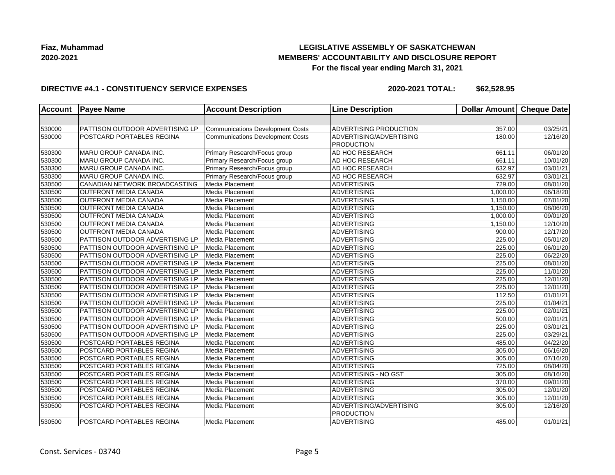## **LEGISLATIVE ASSEMBLY OF SASKATCHEWAN MEMBERS' ACCOUNTABILITY AND DISCLOSURE REPORT For the fiscal year ending March 31, 2021**

### **DIRECTIVE #4.1 - CONSTITUENCY SERVICE EXPENSES**

| <b>Account</b> | <b>Payee Name</b>                      | <b>Account Description</b>              | <b>Line Description</b>       | <b>Dollar Amount</b> | <b>Cheque Date</b>    |
|----------------|----------------------------------------|-----------------------------------------|-------------------------------|----------------------|-----------------------|
|                |                                        |                                         |                               |                      |                       |
| 530000         | PATTISON OUTDOOR ADVERTISING LP        | <b>Communications Development Costs</b> | <b>ADVERTISING PRODUCTION</b> | 357.00               | 03/25/21              |
| 530000         | <b>POSTCARD PORTABLES REGINA</b>       | <b>Communications Development Costs</b> | ADVERTISING/ADVERTISING       | 180.00               | 12/16/20              |
|                |                                        |                                         | <b>PRODUCTION</b>             |                      |                       |
| 530300         | MARU GROUP CANADA INC.                 | Primary Research/Focus group            | AD HOC RESEARCH               | 661.11               | 06/01/20              |
| 530300         | MARU GROUP CANADA INC.                 | Primary Research/Focus group            | <b>AD HOC RESEARCH</b>        | 661.11               | 10/01/20              |
| 530300         | MARU GROUP CANADA INC.                 | Primary Research/Focus group            | <b>AD HOC RESEARCH</b>        | 632.97               | 03/01/21              |
| 530300         | MARU GROUP CANADA INC.                 | Primary Research/Focus group            | AD HOC RESEARCH               | 632.97               | $\overline{03}/01/21$ |
| 530500         | CANADIAN NETWORK BROADCASTING          | Media Placement                         | <b>ADVERTISING</b>            | 729.00               | $\overline{08}/01/20$ |
| 530500         | <b>OUTFRONT MEDIA CANADA</b>           | Media Placement                         | <b>ADVERTISING</b>            | 1,000.00             | 06/18/20              |
| 530500         | <b>OUTFRONT MEDIA CANADA</b>           | Media Placement                         | ADVERTISING                   | 1,150.00             | 07/01/20              |
| 530500         | <b>OUTFRONT MEDIA CANADA</b>           | Media Placement                         | ADVERTISING                   | 1,150.00             | 08/06/20              |
| 530500         | <b>OUTFRONT MEDIA CANADA</b>           | Media Placement                         | <b>ADVERTISING</b>            | 1,000.00             | 09/01/20              |
| 530500         | <b>OUTFRONT MEDIA CANADA</b>           | Media Placement                         | <b>ADVERTISING</b>            | 1,150.00             | 12/10/20              |
| 530500         | <b>OUTFRONT MEDIA CANADA</b>           | Media Placement                         | <b>ADVERTISING</b>            | 900.00               | 12/17/20              |
| 530500         | PATTISON OUTDOOR ADVERTISING LP        | Media Placement                         | <b>ADVERTISING</b>            | 225.00               | 05/01/20              |
| 530500         | PATTISON OUTDOOR ADVERTISING LP        | Media Placement                         | ADVERTISING                   | 225.00               | 06/01/20              |
| 530500         | <b>PATTISON OUTDOOR ADVERTISING LP</b> | Media Placement                         | ADVERTISING                   | 225.00               | 06/22/20              |
| 530500         | PATTISON OUTDOOR ADVERTISING LP        | Media Placement                         | ADVERTISING                   | 225.00               | 08/01/20              |
| 530500         | PATTISON OUTDOOR ADVERTISING LP        | Media Placement                         | ADVERTISING                   | 225.00               | 11/01/20              |
| 530500         | PATTISON OUTDOOR ADVERTISING LP        | Media Placement                         | <b>ADVERTISING</b>            | 225.00               | 12/01/20              |
| 530500         | PATTISON OUTDOOR ADVERTISING LP        | Media Placement                         | ADVERTISING                   | 225.00               | 12/01/20              |
| 530500         | PATTISON OUTDOOR ADVERTISING LP        | Media Placement                         | ADVERTISING                   | 112.50               | 01/01/21              |
| 530500         | <b>PATTISON OUTDOOR ADVERTISING LP</b> | Media Placement                         | <b>ADVERTISING</b>            | 225.00               | 01/04/21              |
| 530500         | PATTISON OUTDOOR ADVERTISING LP        | Media Placement                         | <b>ADVERTISING</b>            | 225.00               | 02/01/21              |
| 530500         | PATTISON OUTDOOR ADVERTISING LP        | Media Placement                         | <b>ADVERTISING</b>            | 500.00               | 02/01/21              |
| 530500         | PATTISON OUTDOOR ADVERTISING LP        | Media Placement                         | <b>ADVERTISING</b>            | 225.00               | 03/01/21              |
| 530500         | PATTISON OUTDOOR ADVERTISING LP        | Media Placement                         | <b>ADVERTISING</b>            | 225.00               | 03/29/21              |
| 530500         | POSTCARD PORTABLES REGINA              | Media Placement                         | ADVERTISING                   | 485.00               | 04/22/20              |
| 530500         | <b>POSTCARD PORTABLES REGINA</b>       | Media Placement                         | ADVERTISING                   | 305.00               | 06/16/20              |
| 530500         | POSTCARD PORTABLES REGINA              | Media Placement                         | ADVERTISING                   | 305.00               | 07/16/20              |
| 530500         | <b>POSTCARD PORTABLES REGINA</b>       | Media Placement                         | <b>ADVERTISING</b>            | 725.00               | 08/04/20              |
| 530500         | <b>POSTCARD PORTABLES REGINA</b>       | Media Placement                         | <b>ADVERTISING - NO GST</b>   | 305.00               | $\overline{08}/16/20$ |
| 530500         | POSTCARD PORTABLES REGINA              | Media Placement                         | <b>ADVERTISING</b>            | 370.00               | 09/01/20              |
| 530500         | POSTCARD PORTABLES REGINA              | Media Placement                         | ADVERTISING                   | 305.00               | 12/01/20              |
| 530500         | POSTCARD PORTABLES REGINA              | Media Placement                         | <b>ADVERTISING</b>            | 305.00               | 12/01/20              |
| 530500         | POSTCARD PORTABLES REGINA              | Media Placement                         | ADVERTISING/ADVERTISING       | 305.00               | 12/16/20              |
|                |                                        |                                         | <b>PRODUCTION</b>             |                      |                       |
| 530500         | POSTCARD PORTABLES REGINA              | Media Placement                         | <b>ADVERTISING</b>            | 485.00               | 01/01/21              |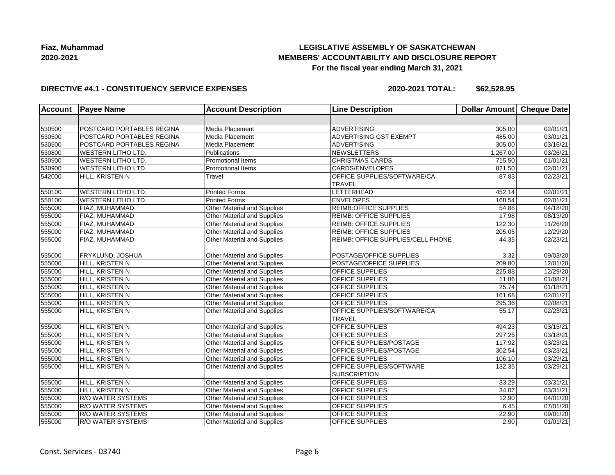## **LEGISLATIVE ASSEMBLY OF SASKATCHEWAN MEMBERS' ACCOUNTABILITY AND DISCLOSURE REPORT For the fiscal year ending March 31, 2021**

### **DIRECTIVE #4.1 - CONSTITUENCY SERVICE EXPENSES**

| <b>Account</b> | <b>Payee Name</b>         | <b>Account Description</b>         | <b>Line Description</b>                                | Dollar Amount | <b>Cheque Date</b>    |
|----------------|---------------------------|------------------------------------|--------------------------------------------------------|---------------|-----------------------|
|                |                           |                                    |                                                        |               |                       |
| 530500         | POSTCARD PORTABLES REGINA | Media Placement                    | <b>ADVERTISING</b>                                     | 305.00        | 02/01/21              |
| 530500         | POSTCARD PORTABLES REGINA | Media Placement                    | <b>ADVERTISING GST EXEMPT</b>                          | 485.00        | 03/01/21              |
| 530500         | POSTCARD PORTABLES REGINA | Media Placement                    | ADVERTISING                                            | 305.00        | 03/16/21              |
| 530800         | <b>WESTERN LITHO LTD.</b> | Publications                       | NEWSLETTERS                                            | 1,267.00      | 03/26/21              |
| 530900         | <b>WESTERN LITHO LTD.</b> | Promotional Items                  | <b>CHRISTMAS CARDS</b>                                 | 715.50        | 01/01/21              |
| 530900         | <b>WESTERN LITHO LTD.</b> | <b>Promotional Items</b>           | CARDS/ENVELOPES                                        | 821.50        | 02/01/21              |
| 542000         | HILL, KRISTEN N           | Travel                             | OFFICE SUPPLIES/SOFTWARE/CA<br><b>TRAVEL</b>           | 87.83         | 02/23/21              |
| 550100         | <b>WESTERN LITHO LTD.</b> | <b>Printed Forms</b>               | LETTERHEAD                                             | 452.14        | $\overline{02/01/21}$ |
| 550100         | <b>WESTERN LITHO LTD.</b> | <b>Printed Forms</b>               | <b>ENVELOPES</b>                                       | 168.54        | 02/01/21              |
| 555000         | FIAZ, MUHAMMAD            | Other Material and Supplies        | <b>REIMB:OFFICE SUPPLIES</b>                           | 54.88         | 04/18/20              |
| 555000         | FIAZ, MUHAMMAD            | Other Material and Supplies        | <b>REIMB: OFFICE SUPPLIES</b>                          | 17.98         | 08/13/20              |
| 555000         | FIAZ, MUHAMMAD            | Other Material and Supplies        | <b>REIMB: OFFICE SUPPLIES</b>                          | 122.30        | 11/26/20              |
| 555000         | FIAZ, MUHAMMAD            | Other Material and Supplies        | <b>REIMB: OFFICE SUPPLIES</b>                          | 205.05        | 12/29/20              |
| 555000         | FIAZ, MUHAMMAD            | Other Material and Supplies        | REIMB: OFFICE SUPPLIES/CELL PHONE                      | 44.35         | 02/23/21              |
| 555000         | FRYKLUND, JOSHUA          | Other Material and Supplies        | POSTAGE/OFFICE SUPPLIES                                | 3.32          | 09/03/20              |
| 555000         | HILL, KRISTEN N           | Other Material and Supplies        | POSTAGE/OFFICE SUPPLIES                                | 209.80        | 12/01/20              |
| 555000         | HILL, KRISTEN N           | Other Material and Supplies        | <b>OFFICE SUPPLIES</b>                                 | 225.88        | 12/29/20              |
| 555000         | HILL, KRISTEN N           | Other Material and Supplies        | <b>OFFICE SUPPLIES</b>                                 | 11.86         | 01/08/21              |
| 555000         | HILL, KRISTEN N           | Other Material and Supplies        | OFFICE SUPPLIES                                        | 25.74         | 01/18/21              |
| 555000         | HILL, KRISTEN N           | Other Material and Supplies        | <b>OFFICE SUPPLIES</b>                                 | 161.68        | 02/01/21              |
| 555000         | HILL, KRISTEN N           | Other Material and Supplies        | <b>OFFICE SUPPLIES</b>                                 | 295.36        | 02/08/21              |
| 555000         | HILL, KRISTEN N           | Other Material and Supplies        | OFFICE SUPPLIES/SOFTWARE/CA<br><b>TRAVEL</b>           | 55.17         | 02/23/21              |
| 555000         | HILL, KRISTEN N           | Other Material and Supplies        | <b>OFFICE SUPPLIES</b>                                 | 494.23        | 03/15/21              |
| 555000         | HILL, KRISTEN N           | Other Material and Supplies        | <b>OFFICE SUPPLIES</b>                                 | 297.26        | 03/18/21              |
| 555000         | HILL, KRISTEN N           | Other Material and Supplies        | <b>OFFICE SUPPLIES/POSTAGE</b>                         | 117.92        | $\overline{03/2}3/21$ |
| 555000         | HILL, KRISTEN N           | Other Material and Supplies        | <b>OFFICE SUPPLIES/POSTAGE</b>                         | 302.54        | 03/23/21              |
| 555000         | HILL, KRISTEN N           | <b>Other Material and Supplies</b> | <b>OFFICE SUPPLIES</b>                                 | 106.10        | 03/29/21              |
| 555000         | HILL, KRISTEN N           | Other Material and Supplies        | <b>OFFICE SUPPLIES/SOFTWARE</b><br><b>SUBSCRIPTION</b> | 132.35        | 03/29/21              |
| 555000         | HILL, KRISTEN N           | Other Material and Supplies        | <b>OFFICE SUPPLIES</b>                                 | 33.29         | 03/31/21              |
| 555000         | HILL, KRISTEN N           | Other Material and Supplies        | <b>OFFICE SUPPLIES</b>                                 | 34.07         | 03/31/21              |
| 555000         | R/O WATER SYSTEMS         | Other Material and Supplies        | <b>OFFICE SUPPLIES</b>                                 | 12.90         | 04/01/20              |
| 555000         | R/O WATER SYSTEMS         | <b>Other Material and Supplies</b> | OFFICE SUPPLIES                                        | 6.45          | 07/01/20              |
| 555000         | <b>R/O WATER SYSTEMS</b>  | <b>Other Material and Supplies</b> | <b>OFFICE SUPPLIES</b>                                 | 22.90         | 09/01/20              |
| 555000         | R/O WATER SYSTEMS         | <b>Other Material and Supplies</b> | <b>OFFICE SUPPLIES</b>                                 | 2.90          | 01/01/21              |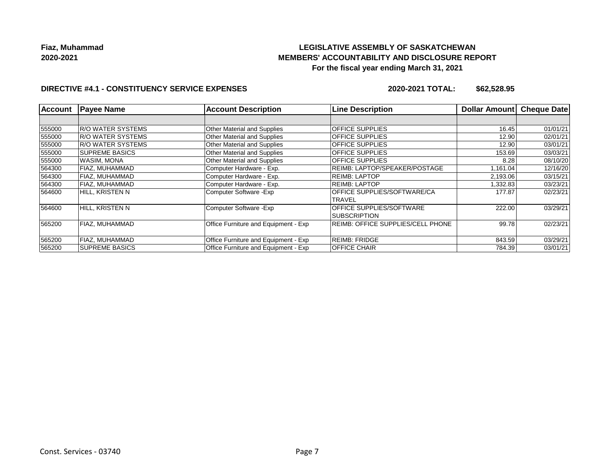# **LEGISLATIVE ASSEMBLY OF SASKATCHEWAN MEMBERS' ACCOUNTABILITY AND DISCLOSURE REPORT For the fiscal year ending March 31, 2021**

## **DIRECTIVE #4.1 - CONSTITUENCY SERVICE EXPENSES**

| <b>Account</b> | <b>Payee Name</b>         | <b>Account Description</b>           | <b>Line Description</b>                  | Dollar Amount | <b>Cheque Date</b> |
|----------------|---------------------------|--------------------------------------|------------------------------------------|---------------|--------------------|
|                |                           |                                      |                                          |               |                    |
| 555000         | <b>R/O WATER SYSTEMS</b>  | <b>Other Material and Supplies</b>   | <b>OFFICE SUPPLIES</b>                   | 16.45         | 01/01/21           |
| 555000         | <b>IR/O WATER SYSTEMS</b> | Other Material and Supplies          | <b>OFFICE SUPPLIES</b>                   | 12.90         | 02/01/21           |
| 555000         | <b>R/O WATER SYSTEMS</b>  | <b>Other Material and Supplies</b>   | <b>OFFICE SUPPLIES</b>                   | 12.90         | 03/01/21           |
| 555000         | <b>SUPREME BASICS</b>     | <b>Other Material and Supplies</b>   | <b>OFFICE SUPPLIES</b>                   | 153.69        | 03/03/21           |
| 555000         | IWASIM. MONA              | <b>Other Material and Supplies</b>   | <b>OFFICE SUPPLIES</b>                   | 8.28          | 08/10/20           |
| 564300         | <b>FIAZ, MUHAMMAD</b>     | Computer Hardware - Exp.             | REIMB: LAPTOP/SPEAKER/POSTAGE            | 1,161.04      | 12/16/20           |
| 564300         | FIAZ, MUHAMMAD            | Computer Hardware - Exp.             | REIMB: LAPTOP                            | 2,193.06      | 03/15/21           |
| 564300         | <b>FIAZ, MUHAMMAD</b>     | Computer Hardware - Exp.             | <b>REIMB: LAPTOP</b>                     | 1,332.83      | 03/23/21           |
| 564600         | HILL, KRISTEN N           | Computer Software - Exp              | <b>OFFICE SUPPLIES/SOFTWARE/CA</b>       | 177.87        | 02/23/21           |
|                |                           |                                      | TRAVEL                                   |               |                    |
| 564600         | HILL, KRISTEN N           | Computer Software - Exp              | <b>OFFICE SUPPLIES/SOFTWARE</b>          | 222.00        | 03/29/21           |
|                |                           |                                      | <b>ISUBSCRIPTION</b>                     |               |                    |
| 565200         | FIAZ, MUHAMMAD            | Office Furniture and Equipment - Exp | <b>REIMB: OFFICE SUPPLIES/CELL PHONE</b> | 99.78         | 02/23/21           |
|                |                           |                                      |                                          |               |                    |
| 565200         | <b>FIAZ, MUHAMMAD</b>     | Office Furniture and Equipment - Exp | <b>REIMB: FRIDGE</b>                     | 843.59        | 03/29/21           |
| 565200         | <b>SUPREME BASICS</b>     | Office Furniture and Equipment - Exp | <b>OFFICE CHAIR</b>                      | 784.39        | 03/01/21           |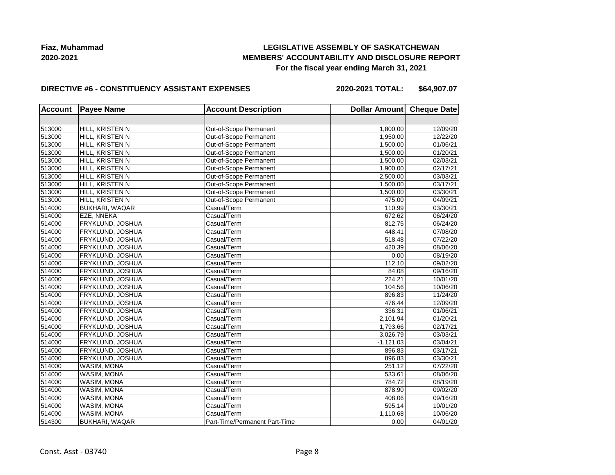## **LEGISLATIVE ASSEMBLY OF SASKATCHEWAN MEMBERS' ACCOUNTABILITY AND DISCLOSURE REPORT For the fiscal year ending March 31, 2021**

#### **DIRECTIVE #6 - CONSTITUENCY ASSISTANT EXPENSES**

**2020-2021 TOTAL: \$64,907.07**

| <b>Account</b> | <b>Payee Name</b>     | <b>Account Description</b>    | Dollar Amount Cheque Date |          |
|----------------|-----------------------|-------------------------------|---------------------------|----------|
|                |                       |                               |                           |          |
| 513000         | HILL, KRISTEN N       | Out-of-Scope Permanent        | 1,800.00                  | 12/09/20 |
| 513000         | HILL, KRISTEN N       | Out-of-Scope Permanent        | 1,950.00                  | 12/22/20 |
| 513000         | HILL, KRISTEN N       | Out-of-Scope Permanent        | 1.500.00                  | 01/06/21 |
| 513000         | HILL, KRISTEN N       | Out-of-Scope Permanent        | 1.500.00                  | 01/20/21 |
| 513000         | HILL, KRISTEN N       | Out-of-Scope Permanent        | 1,500.00                  | 02/03/21 |
| 513000         | HILL, KRISTEN N       | Out-of-Scope Permanent        | 1,900.00                  | 02/17/21 |
| 513000         | HILL, KRISTEN N       | Out-of-Scope Permanent        | 2,500.00                  | 03/03/21 |
| 513000         | HILL, KRISTEN N       | Out-of-Scope Permanent        | 1,500.00                  | 03/17/21 |
| 513000         | HILL, KRISTEN N       | Out-of-Scope Permanent        | 1,500.00                  | 03/30/21 |
| 513000         | HILL, KRISTEN N       | Out-of-Scope Permanent        | 475.00                    | 04/09/21 |
| 514000         | <b>BUKHARI, WAQAR</b> | Casual/Term                   | 110.99                    | 03/30/21 |
| 514000         | EZE, NNEKA            | Casual/Term                   | 672.62                    | 06/24/20 |
| 514000         | FRYKLUND, JOSHUA      | Casual/Term                   | 812.75                    | 06/24/20 |
| 514000         | FRYKLUND, JOSHUA      | Casual/Term                   | 448.41                    | 07/08/20 |
| 514000         | FRYKLUND, JOSHUA      | Casual/Term                   | 518.48                    | 07/22/20 |
| 514000         | FRYKLUND, JOSHUA      | Casual/Term                   | 420.39                    | 08/06/20 |
| 514000         | FRYKLUND, JOSHUA      | Casual/Term                   | 0.00                      | 08/19/20 |
| 514000         | FRYKLUND, JOSHUA      | Casual/Term                   | 112.10                    | 09/02/20 |
| 514000         | FRYKLUND, JOSHUA      | Casual/Term                   | 84.08                     | 09/16/20 |
| 514000         | FRYKLUND, JOSHUA      | Casual/Term                   | 224.21                    | 10/01/20 |
| 514000         | FRYKLUND, JOSHUA      | Casual/Term                   | 104.56                    | 10/06/20 |
| 514000         | FRYKLUND, JOSHUA      | Casual/Term                   | 896.83                    | 11/24/20 |
| 514000         | FRYKLUND, JOSHUA      | Casual/Term                   | 476.44                    | 12/09/20 |
| 514000         | FRYKLUND, JOSHUA      | Casual/Term                   | 336.31                    | 01/06/21 |
| 514000         | FRYKLUND, JOSHUA      | Casual/Term                   | 2,101.94                  | 01/20/21 |
| 514000         | FRYKLUND, JOSHUA      | Casual/Term                   | 1,793.66                  | 02/17/21 |
| 514000         | FRYKLUND, JOSHUA      | Casual/Term                   | 3,026.79                  | 03/03/21 |
| 514000         | FRYKLUND, JOSHUA      | Casual/Term                   | $-1,121.03$               | 03/04/21 |
| 514000         | FRYKLUND, JOSHUA      | Casual/Term                   | 896.83                    | 03/17/21 |
| 514000         | FRYKLUND, JOSHUA      | Casual/Term                   | 896.83                    | 03/30/21 |
| 514000         | WASIM, MONA           | Casual/Term                   | 251.12                    | 07/22/20 |
| 514000         | WASIM, MONA           | Casual/Term                   | 533.61                    | 08/06/20 |
| 514000         | WASIM, MONA           | Casual/Term                   | 784.72                    | 08/19/20 |
| 514000         | WASIM, MONA           | Casual/Term                   | 878.90                    | 09/02/20 |
| 514000         | WASIM, MONA           | Casual/Term                   | 408.06                    | 09/16/20 |
| 514000         | WASIM, MONA           | Casual/Term                   | 595.14                    | 10/01/20 |
| 514000         | WASIM, MONA           | Casual/Term                   | 1,110.68                  | 10/06/20 |
| 514300         | <b>BUKHARI, WAQAR</b> | Part-Time/Permanent Part-Time | 0.00                      | 04/01/20 |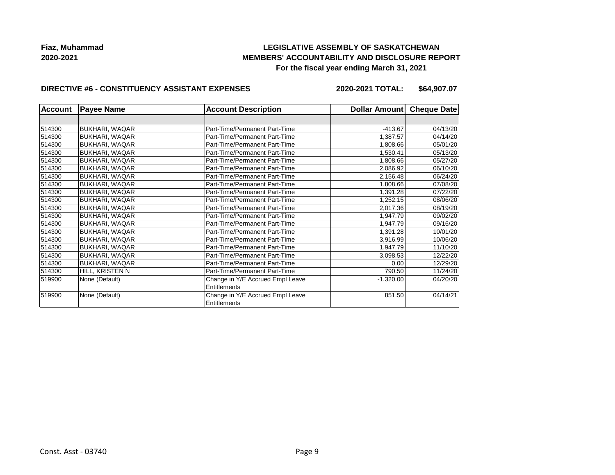## **LEGISLATIVE ASSEMBLY OF SASKATCHEWAN MEMBERS' ACCOUNTABILITY AND DISCLOSURE REPORT For the fiscal year ending March 31, 2021**

### **DIRECTIVE #6 - CONSTITUENCY ASSISTANT EXPENSES**

**2020-2021 TOTAL: \$64,907.07**

| <b>Account</b> | <b>Payee Name</b>     | <b>Account Description</b>       | Dollar Amount | <b>Cheque Date</b> |
|----------------|-----------------------|----------------------------------|---------------|--------------------|
|                |                       |                                  |               |                    |
| 514300         | <b>BUKHARI, WAQAR</b> | Part-Time/Permanent Part-Time    | $-413.67$     | 04/13/20           |
| 514300         | <b>BUKHARI, WAQAR</b> | Part-Time/Permanent Part-Time    | 1,387.57      | 04/14/20           |
| 514300         | <b>BUKHARI, WAQAR</b> | Part-Time/Permanent Part-Time    | 1,808.66      | 05/01/20           |
| 514300         | <b>BUKHARI, WAQAR</b> | Part-Time/Permanent Part-Time    | 1,530.41      | 05/13/20           |
| 514300         | <b>BUKHARI, WAQAR</b> | Part-Time/Permanent Part-Time    | 1,808.66      | 05/27/20           |
| 514300         | <b>BUKHARI, WAQAR</b> | Part-Time/Permanent Part-Time    | 2,086.92      | 06/10/20           |
| 514300         | <b>BUKHARI, WAQAR</b> | Part-Time/Permanent Part-Time    | 2,156.48      | 06/24/20           |
| 514300         | <b>BUKHARI, WAQAR</b> | Part-Time/Permanent Part-Time    | 1,808.66      | 07/08/20           |
| 514300         | <b>BUKHARI, WAQAR</b> | Part-Time/Permanent Part-Time    | 1,391.28      | 07/22/20           |
| 514300         | BUKHARI, WAQAR        | Part-Time/Permanent Part-Time    | 1,252.15      | 08/06/20           |
| 514300         | <b>BUKHARI, WAQAR</b> | Part-Time/Permanent Part-Time    | 2,017.36      | 08/19/20           |
| 514300         | <b>BUKHARI, WAQAR</b> | Part-Time/Permanent Part-Time    | 1,947.79      | 09/02/20           |
| 514300         | <b>BUKHARI, WAQAR</b> | Part-Time/Permanent Part-Time    | 1,947.79      | 09/16/20           |
| 514300         | BUKHARI, WAQAR        | Part-Time/Permanent Part-Time    | 1,391.28      | 10/01/20           |
| 514300         | <b>BUKHARI, WAQAR</b> | Part-Time/Permanent Part-Time    | 3,916.99      | 10/06/20           |
| 514300         | <b>BUKHARI, WAQAR</b> | Part-Time/Permanent Part-Time    | 1,947.79      | 11/10/20           |
| 514300         | <b>BUKHARI, WAQAR</b> | Part-Time/Permanent Part-Time    | 3,098.53      | 12/22/20           |
| 514300         | BUKHARI, WAQAR        | Part-Time/Permanent Part-Time    | 0.00          | 12/29/20           |
| 514300         | HILL, KRISTEN N       | Part-Time/Permanent Part-Time    | 790.50        | 11/24/20           |
| 519900         | None (Default)        | Change in Y/E Accrued Empl Leave | $-1,320.00$   | 04/20/20           |
|                |                       | Entitlements                     |               |                    |
| 519900         | None (Default)        | Change in Y/E Accrued Empl Leave | 851.50        | 04/14/21           |
|                |                       | <b>Entitlements</b>              |               |                    |